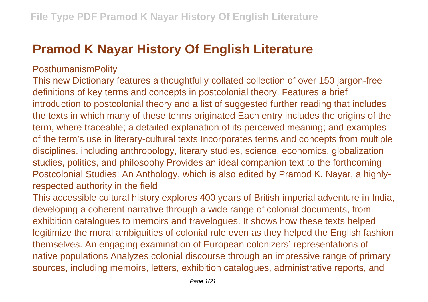## **Pramod K Nayar History Of English Literature**

## PosthumanismPolity

This new Dictionary features a thoughtfully collated collection of over 150 jargon-free definitions of key terms and concepts in postcolonial theory. Features a brief introduction to postcolonial theory and a list of suggested further reading that includes the texts in which many of these terms originated Each entry includes the origins of the term, where traceable; a detailed explanation of its perceived meaning; and examples of the term's use in literary-cultural texts Incorporates terms and concepts from multiple disciplines, including anthropology, literary studies, science, economics, globalization studies, politics, and philosophy Provides an ideal companion text to the forthcoming Postcolonial Studies: An Anthology, which is also edited by Pramod K. Nayar, a highlyrespected authority in the field

This accessible cultural history explores 400 years of British imperial adventure in India, developing a coherent narrative through a wide range of colonial documents, from exhibition catalogues to memoirs and travelogues. It shows how these texts helped legitimize the moral ambiguities of colonial rule even as they helped the English fashion themselves. An engaging examination of European colonizers' representations of native populations Analyzes colonial discourse through an impressive range of primary sources, including memoirs, letters, exhibition catalogues, administrative reports, and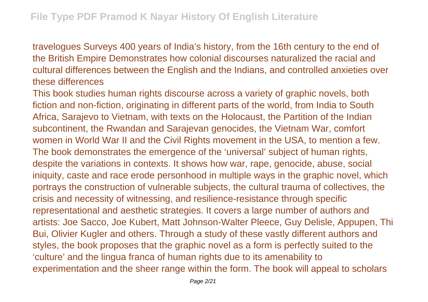travelogues Surveys 400 years of India's history, from the 16th century to the end of the British Empire Demonstrates how colonial discourses naturalized the racial and cultural differences between the English and the Indians, and controlled anxieties over these differences

This book studies human rights discourse across a variety of graphic novels, both fiction and non-fiction, originating in different parts of the world, from India to South Africa, Sarajevo to Vietnam, with texts on the Holocaust, the Partition of the Indian subcontinent, the Rwandan and Sarajevan genocides, the Vietnam War, comfort women in World War II and the Civil Rights movement in the USA, to mention a few. The book demonstrates the emergence of the 'universal' subject of human rights, despite the variations in contexts. It shows how war, rape, genocide, abuse, social iniquity, caste and race erode personhood in multiple ways in the graphic novel, which portrays the construction of vulnerable subjects, the cultural trauma of collectives, the crisis and necessity of witnessing, and resilience-resistance through specific representational and aesthetic strategies. It covers a large number of authors and artists: Joe Sacco, Joe Kubert, Matt Johnson-Walter Pleece, Guy Delisle, Appupen, Thi Bui, Olivier Kugler and others. Through a study of these vastly different authors and styles, the book proposes that the graphic novel as a form is perfectly suited to the 'culture' and the lingua franca of human rights due to its amenability to experimentation and the sheer range within the form. The book will appeal to scholars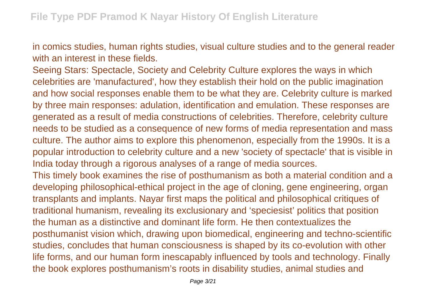in comics studies, human rights studies, visual culture studies and to the general reader with an interest in these fields.

Seeing Stars: Spectacle, Society and Celebrity Culture explores the ways in which celebrities are 'manufactured', how they establish their hold on the public imagination and how social responses enable them to be what they are. Celebrity culture is marked by three main responses: adulation, identification and emulation. These responses are generated as a result of media constructions of celebrities. Therefore, celebrity culture needs to be studied as a consequence of new forms of media representation and mass culture. The author aims to explore this phenomenon, especially from the 1990s. It is a popular introduction to celebrity culture and a new 'society of spectacle' that is visible in India today through a rigorous analyses of a range of media sources.

This timely book examines the rise of posthumanism as both a material condition and a developing philosophical-ethical project in the age of cloning, gene engineering, organ transplants and implants. Nayar first maps the political and philosophical critiques of traditional humanism, revealing its exclusionary and 'speciesist' politics that position the human as a distinctive and dominant life form. He then contextualizes the posthumanist vision which, drawing upon biomedical, engineering and techno-scientific studies, concludes that human consciousness is shaped by its co-evolution with other life forms, and our human form inescapably influenced by tools and technology. Finally the book explores posthumanism's roots in disability studies, animal studies and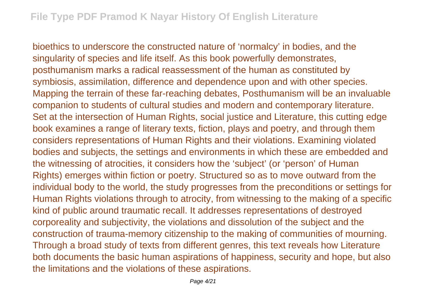bioethics to underscore the constructed nature of 'normalcy' in bodies, and the singularity of species and life itself. As this book powerfully demonstrates, posthumanism marks a radical reassessment of the human as constituted by symbiosis, assimilation, difference and dependence upon and with other species. Mapping the terrain of these far-reaching debates, Posthumanism will be an invaluable companion to students of cultural studies and modern and contemporary literature. Set at the intersection of Human Rights, social justice and Literature, this cutting edge book examines a range of literary texts, fiction, plays and poetry, and through them considers representations of Human Rights and their violations. Examining violated bodies and subjects, the settings and environments in which these are embedded and the witnessing of atrocities, it considers how the 'subject' (or 'person' of Human Rights) emerges within fiction or poetry. Structured so as to move outward from the individual body to the world, the study progresses from the preconditions or settings for Human Rights violations through to atrocity, from witnessing to the making of a specific kind of public around traumatic recall. It addresses representations of destroyed corporeality and subjectivity, the violations and dissolution of the subject and the construction of trauma-memory citizenship to the making of communities of mourning. Through a broad study of texts from different genres, this text reveals how Literature both documents the basic human aspirations of happiness, security and hope, but also the limitations and the violations of these aspirations.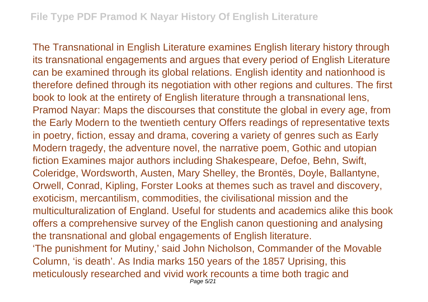The Transnational in English Literature examines English literary history through its transnational engagements and argues that every period of English Literature can be examined through its global relations. English identity and nationhood is therefore defined through its negotiation with other regions and cultures. The first book to look at the entirety of English literature through a transnational lens, Pramod Nayar: Maps the discourses that constitute the global in every age, from the Early Modern to the twentieth century Offers readings of representative texts in poetry, fiction, essay and drama, covering a variety of genres such as Early Modern tragedy, the adventure novel, the narrative poem, Gothic and utopian fiction Examines major authors including Shakespeare, Defoe, Behn, Swift, Coleridge, Wordsworth, Austen, Mary Shelley, the Brontës, Doyle, Ballantyne, Orwell, Conrad, Kipling, Forster Looks at themes such as travel and discovery, exoticism, mercantilism, commodities, the civilisational mission and the multiculturalization of England. Useful for students and academics alike this book offers a comprehensive survey of the English canon questioning and analysing the transnational and global engagements of English literature. 'The punishment for Mutiny,' said John Nicholson, Commander of the Movable Column, 'is death'. As India marks 150 years of the 1857 Uprising, this meticulously researched and vivid work recounts a time both tragic and Page 5/21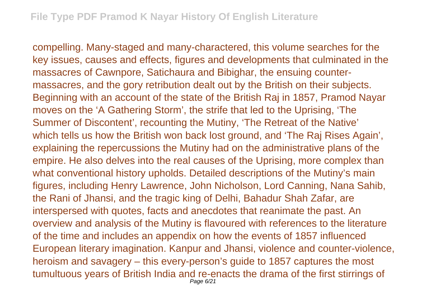compelling. Many-staged and many-charactered, this volume searches for the key issues, causes and effects, figures and developments that culminated in the massacres of Cawnpore, Satichaura and Bibighar, the ensuing countermassacres, and the gory retribution dealt out by the British on their subjects. Beginning with an account of the state of the British Raj in 1857, Pramod Nayar moves on the 'A Gathering Storm', the strife that led to the Uprising, 'The Summer of Discontent', recounting the Mutiny, 'The Retreat of the Native' which tells us how the British won back lost ground, and 'The Raj Rises Again', explaining the repercussions the Mutiny had on the administrative plans of the empire. He also delves into the real causes of the Uprising, more complex than what conventional history upholds. Detailed descriptions of the Mutiny's main figures, including Henry Lawrence, John Nicholson, Lord Canning, Nana Sahib, the Rani of Jhansi, and the tragic king of Delhi, Bahadur Shah Zafar, are interspersed with quotes, facts and anecdotes that reanimate the past. An overview and analysis of the Mutiny is flavoured with references to the literature of the time and includes an appendix on how the events of 1857 influenced European literary imagination. Kanpur and Jhansi, violence and counter-violence, heroism and savagery – this every-person's guide to 1857 captures the most tumultuous years of British India and re-enacts the drama of the first stirrings of Page 6/21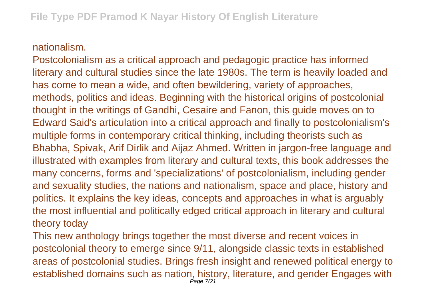## nationalism.

Postcolonialism as a critical approach and pedagogic practice has informed literary and cultural studies since the late 1980s. The term is heavily loaded and has come to mean a wide, and often bewildering, variety of approaches, methods, politics and ideas. Beginning with the historical origins of postcolonial thought in the writings of Gandhi, Cesaire and Fanon, this guide moves on to Edward Said's articulation into a critical approach and finally to postcolonialism's multiple forms in contemporary critical thinking, including theorists such as Bhabha, Spivak, Arif Dirlik and Aijaz Ahmed. Written in jargon-free language and illustrated with examples from literary and cultural texts, this book addresses the many concerns, forms and 'specializations' of postcolonialism, including gender and sexuality studies, the nations and nationalism, space and place, history and politics. It explains the key ideas, concepts and approaches in what is arguably the most influential and politically edged critical approach in literary and cultural theory today

This new anthology brings together the most diverse and recent voices in postcolonial theory to emerge since 9/11, alongside classic texts in established areas of postcolonial studies. Brings fresh insight and renewed political energy to established domains such as nation, history, literature, and gender Engages with Page 7/21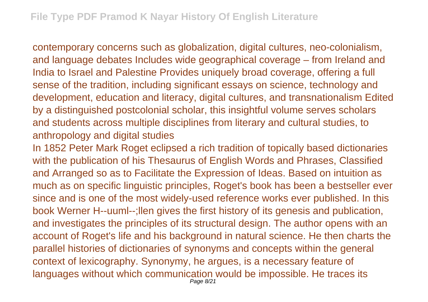contemporary concerns such as globalization, digital cultures, neo-colonialism, and language debates Includes wide geographical coverage – from Ireland and India to Israel and Palestine Provides uniquely broad coverage, offering a full sense of the tradition, including significant essays on science, technology and development, education and literacy, digital cultures, and transnationalism Edited by a distinguished postcolonial scholar, this insightful volume serves scholars and students across multiple disciplines from literary and cultural studies, to anthropology and digital studies

In 1852 Peter Mark Roget eclipsed a rich tradition of topically based dictionaries with the publication of his Thesaurus of English Words and Phrases, Classified and Arranged so as to Facilitate the Expression of Ideas. Based on intuition as much as on specific linguistic principles, Roget's book has been a bestseller ever since and is one of the most widely-used reference works ever published. In this book Werner H--uuml--;llen gives the first history of its genesis and publication, and investigates the principles of its structural design. The author opens with an account of Roget's life and his background in natural science. He then charts the parallel histories of dictionaries of synonyms and concepts within the general context of lexicography. Synonymy, he argues, is a necessary feature of languages without which communication would be impossible. He traces its Page 8/21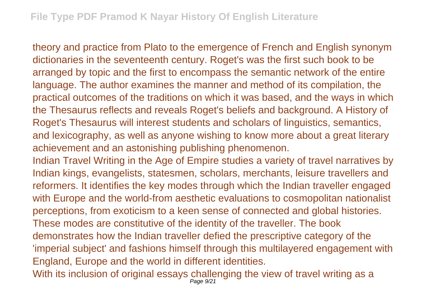theory and practice from Plato to the emergence of French and English synonym dictionaries in the seventeenth century. Roget's was the first such book to be arranged by topic and the first to encompass the semantic network of the entire language. The author examines the manner and method of its compilation, the practical outcomes of the traditions on which it was based, and the ways in which the Thesaurus reflects and reveals Roget's beliefs and background. A History of Roget's Thesaurus will interest students and scholars of linguistics, semantics, and lexicography, as well as anyone wishing to know more about a great literary achievement and an astonishing publishing phenomenon.

Indian Travel Writing in the Age of Empire studies a variety of travel narratives by Indian kings, evangelists, statesmen, scholars, merchants, leisure travellers and reformers. It identifies the key modes through which the Indian traveller engaged with Europe and the world-from aesthetic evaluations to cosmopolitan nationalist perceptions, from exoticism to a keen sense of connected and global histories. These modes are constitutive of the identity of the traveller. The book demonstrates how the Indian traveller defied the prescriptive category of the 'imperial subject' and fashions himself through this multilayered engagement with England, Europe and the world in different identities.

With its inclusion of original essays challenging the view of travel writing as a Page 9/21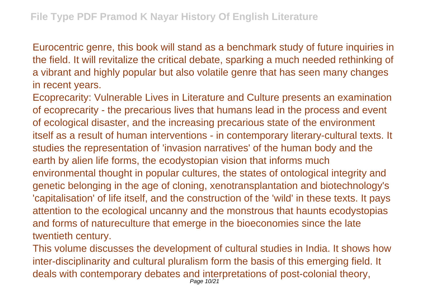Eurocentric genre, this book will stand as a benchmark study of future inquiries in the field. It will revitalize the critical debate, sparking a much needed rethinking of a vibrant and highly popular but also volatile genre that has seen many changes in recent years.

Ecoprecarity: Vulnerable Lives in Literature and Culture presents an examination of ecoprecarity - the precarious lives that humans lead in the process and event of ecological disaster, and the increasing precarious state of the environment itself as a result of human interventions - in contemporary literary-cultural texts. It studies the representation of 'invasion narratives' of the human body and the earth by alien life forms, the ecodystopian vision that informs much environmental thought in popular cultures, the states of ontological integrity and genetic belonging in the age of cloning, xenotransplantation and biotechnology's 'capitalisation' of life itself, and the construction of the 'wild' in these texts. It pays attention to the ecological uncanny and the monstrous that haunts ecodystopias and forms of natureculture that emerge in the bioeconomies since the late twentieth century.

This volume discusses the development of cultural studies in India. It shows how inter-disciplinarity and cultural pluralism form the basis of this emerging field. It deals with contemporary debates and interpretations of post-colonial theory, Page 10/21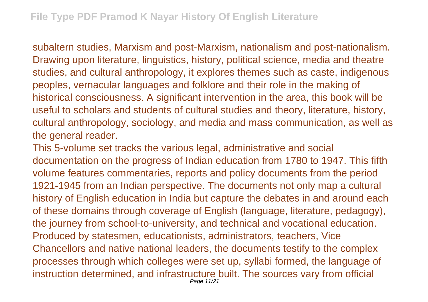subaltern studies, Marxism and post-Marxism, nationalism and post-nationalism. Drawing upon literature, linguistics, history, political science, media and theatre studies, and cultural anthropology, it explores themes such as caste, indigenous peoples, vernacular languages and folklore and their role in the making of historical consciousness. A significant intervention in the area, this book will be useful to scholars and students of cultural studies and theory, literature, history, cultural anthropology, sociology, and media and mass communication, as well as the general reader.

This 5-volume set tracks the various legal, administrative and social documentation on the progress of Indian education from 1780 to 1947. This fifth volume features commentaries, reports and policy documents from the period 1921-1945 from an Indian perspective. The documents not only map a cultural history of English education in India but capture the debates in and around each of these domains through coverage of English (language, literature, pedagogy), the journey from school-to-university, and technical and vocational education. Produced by statesmen, educationists, administrators, teachers, Vice Chancellors and native national leaders, the documents testify to the complex processes through which colleges were set up, syllabi formed, the language of instruction determined, and infrastructure built. The sources vary from official Page 11/21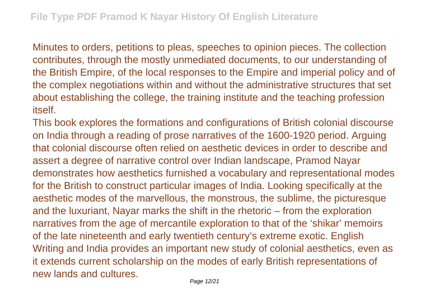Minutes to orders, petitions to pleas, speeches to opinion pieces. The collection contributes, through the mostly unmediated documents, to our understanding of the British Empire, of the local responses to the Empire and imperial policy and of the complex negotiations within and without the administrative structures that set about establishing the college, the training institute and the teaching profession itself.

This book explores the formations and configurations of British colonial discourse on India through a reading of prose narratives of the 1600-1920 period. Arguing that colonial discourse often relied on aesthetic devices in order to describe and assert a degree of narrative control over Indian landscape, Pramod Nayar demonstrates how aesthetics furnished a vocabulary and representational modes for the British to construct particular images of India. Looking specifically at the aesthetic modes of the marvellous, the monstrous, the sublime, the picturesque and the luxuriant, Nayar marks the shift in the rhetoric – from the exploration narratives from the age of mercantile exploration to that of the 'shikar' memoirs of the late nineteenth and early twentieth century's extreme exotic. English Writing and India provides an important new study of colonial aesthetics, even as it extends current scholarship on the modes of early British representations of new lands and cultures.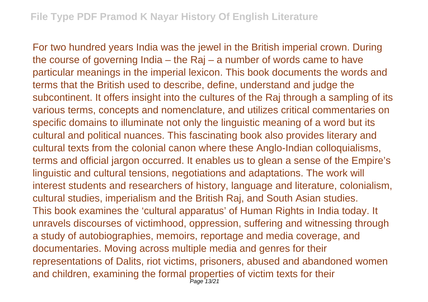For two hundred years India was the jewel in the British imperial crown. During the course of governing India – the Raj – a number of words came to have particular meanings in the imperial lexicon. This book documents the words and terms that the British used to describe, define, understand and judge the subcontinent. It offers insight into the cultures of the Raj through a sampling of its various terms, concepts and nomenclature, and utilizes critical commentaries on specific domains to illuminate not only the linguistic meaning of a word but its cultural and political nuances. This fascinating book also provides literary and cultural texts from the colonial canon where these Anglo-Indian colloquialisms, terms and official jargon occurred. It enables us to glean a sense of the Empire's linguistic and cultural tensions, negotiations and adaptations. The work will interest students and researchers of history, language and literature, colonialism, cultural studies, imperialism and the British Raj, and South Asian studies. This book examines the 'cultural apparatus' of Human Rights in India today. It unravels discourses of victimhood, oppression, suffering and witnessing through a study of autobiographies, memoirs, reportage and media coverage, and documentaries. Moving across multiple media and genres for their representations of Dalits, riot victims, prisoners, abused and abandoned women and children, examining the formal properties of victim texts for their<br>
Page 13/21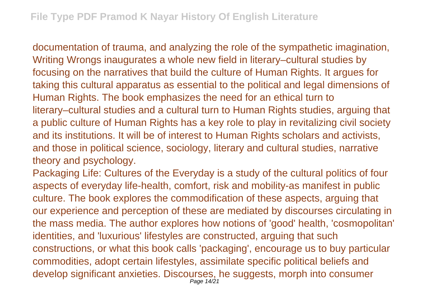documentation of trauma, and analyzing the role of the sympathetic imagination, Writing Wrongs inaugurates a whole new field in literary–cultural studies by focusing on the narratives that build the culture of Human Rights. It argues for taking this cultural apparatus as essential to the political and legal dimensions of Human Rights. The book emphasizes the need for an ethical turn to literary–cultural studies and a cultural turn to Human Rights studies, arguing that a public culture of Human Rights has a key role to play in revitalizing civil society and its institutions. It will be of interest to Human Rights scholars and activists, and those in political science, sociology, literary and cultural studies, narrative theory and psychology.

Packaging Life: Cultures of the Everyday is a study of the cultural politics of four aspects of everyday life-health, comfort, risk and mobility-as manifest in public culture. The book explores the commodification of these aspects, arguing that our experience and perception of these are mediated by discourses circulating in the mass media. The author explores how notions of 'good' health, 'cosmopolitan' identities, and 'luxurious' lifestyles are constructed, arguing that such constructions, or what this book calls 'packaging', encourage us to buy particular commodities, adopt certain lifestyles, assimilate specific political beliefs and develop significant anxieties. Discourses, he suggests, morph into consumer Page 14/21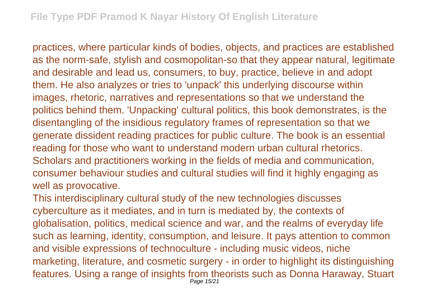practices, where particular kinds of bodies, objects, and practices are established as the norm-safe, stylish and cosmopolitan-so that they appear natural, legitimate and desirable and lead us, consumers, to buy, practice, believe in and adopt them. He also analyzes or tries to 'unpack' this underlying discourse within images, rhetoric, narratives and representations so that we understand the politics behind them. 'Unpacking' cultural politics, this book demonstrates, is the disentangling of the insidious regulatory frames of representation so that we generate dissident reading practices for public culture. The book is an essential reading for those who want to understand modern urban cultural rhetorics. Scholars and practitioners working in the fields of media and communication, consumer behaviour studies and cultural studies will find it highly engaging as well as provocative.

This interdisciplinary cultural study of the new technologies discusses cyberculture as it mediates, and in turn is mediated by, the contexts of globalisation, politics, medical science and war, and the realms of everyday life such as learning, identity, consumption, and leisure. It pays attention to common and visible expressions of technoculture - including music videos, niche marketing, literature, and cosmetic surgery - in order to highlight its distinguishing features. Using a range of insights from theorists such as Donna Haraway, Stuart Page 15/21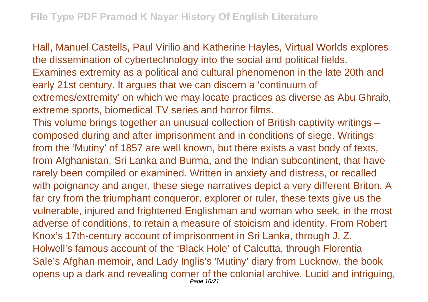Hall, Manuel Castells, Paul Virilio and Katherine Hayles, Virtual Worlds explores the dissemination of cybertechnology into the social and political fields. Examines extremity as a political and cultural phenomenon in the late 20th and early 21st century. It argues that we can discern a 'continuum of extremes/extremity' on which we may locate practices as diverse as Abu Ghraib, extreme sports, biomedical TV series and horror films. This volume brings together an unusual collection of British captivity writings – composed during and after imprisonment and in conditions of siege. Writings from the 'Mutiny' of 1857 are well known, but there exists a vast body of texts, from Afghanistan, Sri Lanka and Burma, and the Indian subcontinent, that have rarely been compiled or examined. Written in anxiety and distress, or recalled with poignancy and anger, these siege narratives depict a very different Briton. A far cry from the triumphant conqueror, explorer or ruler, these texts give us the vulnerable, injured and frightened Englishman and woman who seek, in the most adverse of conditions, to retain a measure of stoicism and identity. From Robert Knox's 17th-century account of imprisonment in Sri Lanka, through J. Z. Holwell's famous account of the 'Black Hole' of Calcutta, through Florentia Sale's Afghan memoir, and Lady Inglis's 'Mutiny' diary from Lucknow, the book opens up a dark and revealing corner of the colonial archive. Lucid and intriguing, Page 16/21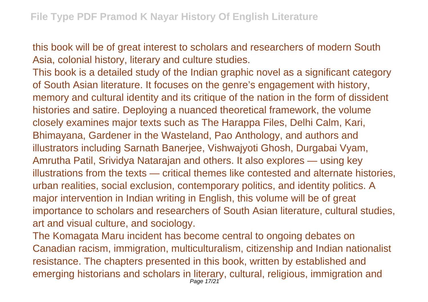this book will be of great interest to scholars and researchers of modern South Asia, colonial history, literary and culture studies.

This book is a detailed study of the Indian graphic novel as a significant category of South Asian literature. It focuses on the genre's engagement with history, memory and cultural identity and its critique of the nation in the form of dissident histories and satire. Deploying a nuanced theoretical framework, the volume closely examines major texts such as The Harappa Files, Delhi Calm, Kari, Bhimayana, Gardener in the Wasteland, Pao Anthology, and authors and illustrators including Sarnath Banerjee, Vishwajyoti Ghosh, Durgabai Vyam, Amrutha Patil, Srividya Natarajan and others. It also explores — using key illustrations from the texts — critical themes like contested and alternate histories, urban realities, social exclusion, contemporary politics, and identity politics. A major intervention in Indian writing in English, this volume will be of great importance to scholars and researchers of South Asian literature, cultural studies, art and visual culture, and sociology.

The Komagata Maru incident has become central to ongoing debates on Canadian racism, immigration, multiculturalism, citizenship and Indian nationalist resistance. The chapters presented in this book, written by established and emerging historians and scholars in literary, cultural, religious, immigration and Page 17/21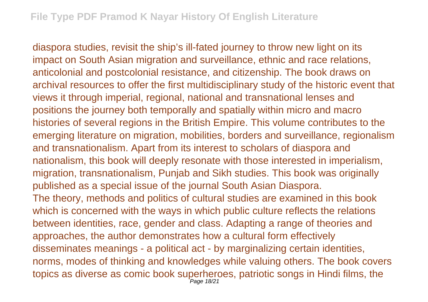diaspora studies, revisit the ship's ill-fated journey to throw new light on its impact on South Asian migration and surveillance, ethnic and race relations, anticolonial and postcolonial resistance, and citizenship. The book draws on archival resources to offer the first multidisciplinary study of the historic event that views it through imperial, regional, national and transnational lenses and positions the journey both temporally and spatially within micro and macro histories of several regions in the British Empire. This volume contributes to the emerging literature on migration, mobilities, borders and surveillance, regionalism and transnationalism. Apart from its interest to scholars of diaspora and nationalism, this book will deeply resonate with those interested in imperialism, migration, transnationalism, Punjab and Sikh studies. This book was originally published as a special issue of the journal South Asian Diaspora. The theory, methods and politics of cultural studies are examined in this book which is concerned with the ways in which public culture reflects the relations between identities, race, gender and class. Adapting a range of theories and approaches, the author demonstrates how a cultural form effectively disseminates meanings - a political act - by marginalizing certain identities, norms, modes of thinking and knowledges while valuing others. The book covers topics as diverse as comic book superheroes, patriotic songs in Hindi films, the Page 18/21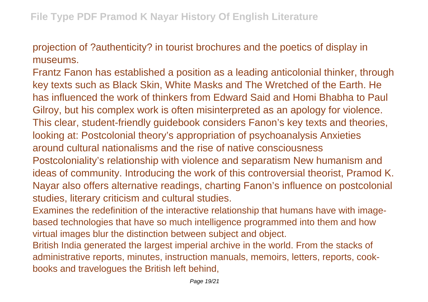projection of ?authenticity? in tourist brochures and the poetics of display in museums.

Frantz Fanon has established a position as a leading anticolonial thinker, through key texts such as Black Skin, White Masks and The Wretched of the Earth. He has influenced the work of thinkers from Edward Said and Homi Bhabha to Paul Gilroy, but his complex work is often misinterpreted as an apology for violence. This clear, student-friendly guidebook considers Fanon's key texts and theories, looking at: Postcolonial theory's appropriation of psychoanalysis Anxieties around cultural nationalisms and the rise of native consciousness Postcoloniality's relationship with violence and separatism New humanism and ideas of community. Introducing the work of this controversial theorist, Pramod K. Nayar also offers alternative readings, charting Fanon's influence on postcolonial studies, literary criticism and cultural studies.

Examines the redefinition of the interactive relationship that humans have with imagebased technologies that have so much intelligence programmed into them and how virtual images blur the distinction between subject and object.

British India generated the largest imperial archive in the world. From the stacks of administrative reports, minutes, instruction manuals, memoirs, letters, reports, cookbooks and travelogues the British left behind,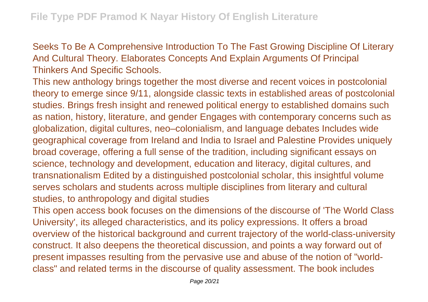Seeks To Be A Comprehensive Introduction To The Fast Growing Discipline Of Literary And Cultural Theory. Elaborates Concepts And Explain Arguments Of Principal Thinkers And Specific Schools.

This new anthology brings together the most diverse and recent voices in postcolonial theory to emerge since 9/11, alongside classic texts in established areas of postcolonial studies. Brings fresh insight and renewed political energy to established domains such as nation, history, literature, and gender Engages with contemporary concerns such as globalization, digital cultures, neo–colonialism, and language debates Includes wide geographical coverage from Ireland and India to Israel and Palestine Provides uniquely broad coverage, offering a full sense of the tradition, including significant essays on science, technology and development, education and literacy, digital cultures, and transnationalism Edited by a distinguished postcolonial scholar, this insightful volume serves scholars and students across multiple disciplines from literary and cultural studies, to anthropology and digital studies

This open access book focuses on the dimensions of the discourse of 'The World Class University', its alleged characteristics, and its policy expressions. It offers a broad overview of the historical background and current trajectory of the world-class-university construct. It also deepens the theoretical discussion, and points a way forward out of present impasses resulting from the pervasive use and abuse of the notion of "worldclass" and related terms in the discourse of quality assessment. The book includes